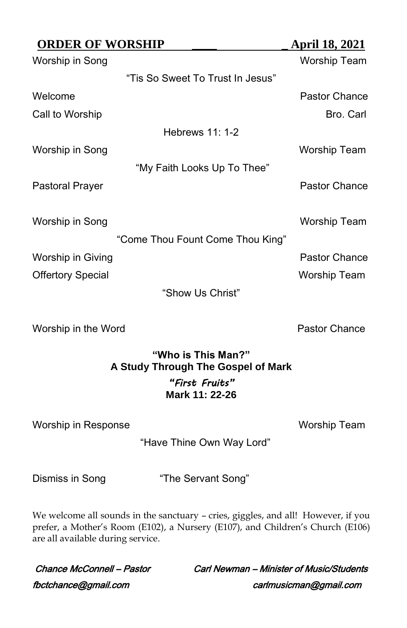| <b>ORDER OF WORSHIP</b>  |                                  | <b>April 18, 2021</b> |
|--------------------------|----------------------------------|-----------------------|
| Worship in Song          |                                  | <b>Worship Team</b>   |
|                          | "Tis So Sweet To Trust In Jesus" |                       |
| Welcome                  |                                  | Pastor Chance         |
| Call to Worship          |                                  | Bro. Carl             |
|                          | Hebrews 11: 1-2                  |                       |
| Worship in Song          |                                  | Worship Team          |
|                          | "My Faith Looks Up To Thee"      |                       |
| Pastoral Prayer          |                                  | Pastor Chance         |
| Worship in Song          | "Come Thou Fount Come Thou King" | Worship Team          |
| Worship in Giving        |                                  | Pastor Chance         |
| <b>Offertory Special</b> |                                  | Worship Team          |
|                          | "Show Us Christ"                 |                       |

Worship in the Word **Pastor Chance** 

# **"Who is This Man?" A Study Through The Gospel of Mark** *"First Fruits"* **Mark 11: 22-26**

Worship in Response Worship Team

"Have Thine Own Way Lord"

Dismiss in Song "The Servant Song"

We welcome all sounds in the sanctuary – cries, giggles, and all! However, if you prefer, a Mother's Room (E102), a Nursery (E107), and Children's Church (E106) are all available during service.

fbctchance@gmail.com carlmusicman@gmail.com

Chance McConnell – Pastor Carl Newman – Minister of Music/Students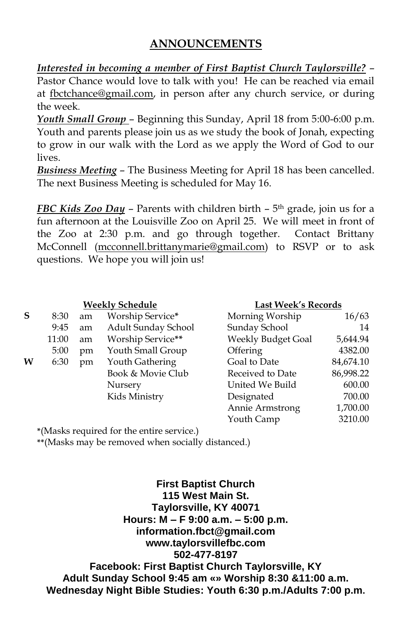# **ANNOUNCEMENTS**

*Interested in becoming a member of First Baptist Church Taylorsville?* – Pastor Chance would love to talk with you! He can be reached via email at [fbctchance@gmail.com,](mailto:fbctchance@gmail.com) in person after any church service, or during the week.

*Youth Small Group* – Beginning this Sunday, April 18 from 5:00-6:00 p.m. Youth and parents please join us as we study the book of Jonah, expecting to grow in our walk with the Lord as we apply the Word of God to our lives.

*Business Meeting* – The Business Meeting for April 18 has been cancelled. The next Business Meeting is scheduled for May 16.

*FBC Kids Zoo Day* – Parents with children birth – 5 th grade, join us for a fun afternoon at the Louisville Zoo on April 25. We will meet in front of the Zoo at 2:30 p.m. and go through together. Contact Brittany McConnell [\(mcconnell.brittanymarie@gmail.com\)](mailto:mcconnell.brittanymarie@gmail.com) to RSVP or to ask questions. We hope you will join us!

|   | <b>Weekly Schedule</b> |    |                     | <b>Last Week's Records</b> |           |  |
|---|------------------------|----|---------------------|----------------------------|-----------|--|
| S | 8:30                   | am | Worship Service*    | Morning Worship            | 16/63     |  |
|   | 9:45                   | am | Adult Sunday School | Sunday School              | 14        |  |
|   | 11:00                  | am | Worship Service**   | <b>Weekly Budget Goal</b>  | 5,644.94  |  |
|   | 5:00                   | pm | Youth Small Group   | Offering                   | 4382.00   |  |
| w | 6:30                   | pm | Youth Gathering     | Goal to Date               | 84,674.10 |  |
|   |                        |    | Book & Movie Club   | Received to Date           | 86,998.22 |  |
|   |                        |    | Nursery             | United We Build            | 600.00    |  |
|   |                        |    | Kids Ministry       | Designated                 | 700.00    |  |
|   |                        |    |                     | Annie Armstrong            | 1,700.00  |  |

Youth Camp 3210.00

**\***(Masks required for the entire service.)

**\*\***(Masks may be removed when socially distanced.)

**First Baptist Church 115 West Main St. Taylorsville, KY 40071 Hours: M – F 9:00 a.m. – 5:00 p.m. information.fbct@gmail.com www.taylorsvillefbc.com 502-477-8197 Facebook: First Baptist Church Taylorsville, KY Adult Sunday School 9:45 am «» Worship 8:30 &11:00 a.m. Wednesday Night Bible Studies: Youth 6:30 p.m./Adults 7:00 p.m.**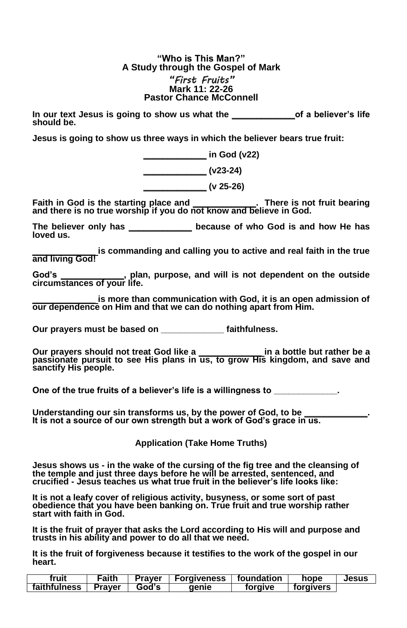#### **"Who is This Man?" A Study through the Gospel of Mark** *"First Fruits"* **Mark 11: 22-26 Pastor Chance McConnell**

**In our text Jesus is going to show us what the \_\_\_\_\_\_\_\_\_\_\_\_\_of a believer's life should be.** 

**Jesus is going to show us three ways in which the believer bears true fruit:**

**\_\_\_\_\_\_\_\_\_\_\_\_\_ in God (v22) \_\_\_\_\_\_\_\_\_\_\_\_\_ (v23-24) \_\_\_\_\_\_\_\_\_\_\_\_\_ (v 25-26)**

**Faith in God is the starting place and \_\_\_\_\_\_\_\_\_\_\_\_\_. There is not fruit bearing and there is no true worship if you do not know and believe in God.**

**The believer only has \_\_\_\_\_\_\_\_\_\_\_\_\_ because of who God is and how He has loved us.** 

**\_\_\_\_\_\_\_\_\_\_\_\_\_ is commanding and calling you to active and real faith in the true and living God!**

**God's \_\_\_\_\_\_\_\_\_\_\_\_\_, plan, purpose, and will is not dependent on the outside circumstances of your life.**

**\_\_\_\_\_\_\_\_\_\_\_\_\_ is more than communication with God, it is an open admission of our dependence on Him and that we can do nothing apart from Him.**

**Our prayers must be based on \_\_\_\_\_\_\_\_\_\_\_\_\_ faithfulness.**

**Our prayers should not treat God like a \_\_\_\_\_\_\_\_\_\_\_\_\_ in a bottle but rather be a passionate pursuit to see His plans in us, to grow His kingdom, and save and sanctify His people.** 

**One of the true fruits of a believer's life is a willingness to \_\_\_\_\_\_\_\_\_\_\_\_\_.**

Understanding our sin transforms us, by the power of God, to be **It is not a source of our own strength but a work of God's grace in us.** 

**Application (Take Home Truths)**

**Jesus shows us - in the wake of the cursing of the fig tree and the cleansing of the temple and just three days before he will be arrested, sentenced, and crucified - Jesus teaches us what true fruit in the believer's life looks like:**

**It is not a leafy cover of religious activity, busyness, or some sort of past obedience that you have been banking on. True fruit and true worship rather start with faith in God.** 

**It is the fruit of prayer that asks the Lord according to His will and purpose and trusts in his ability and power to do all that we need.** 

**It is the fruit of forgiveness because it testifies to the work of the gospel in our heart.**

| fruit        | Faith  | Praver | <b>Forgiveness</b> | foundation | hope      | Jesus |
|--------------|--------|--------|--------------------|------------|-----------|-------|
| faithfulness | Praver | God's  | aenie              | toraive    | torgivers |       |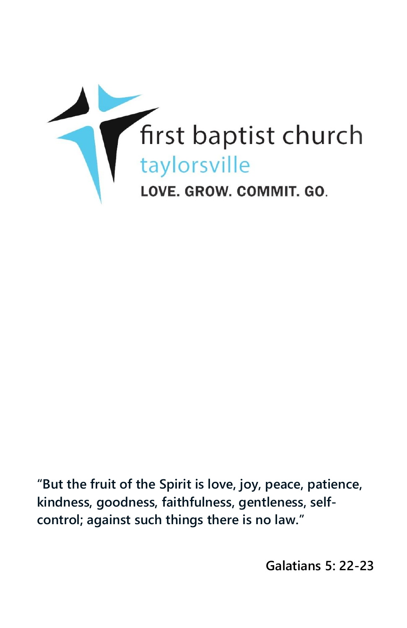

**"But the fruit of the Spirit is love, joy, peace, patience, kindness, goodness, faithfulness, gentleness, selfcontrol; against such things there is no law."**

**Galatians 5: 22-23**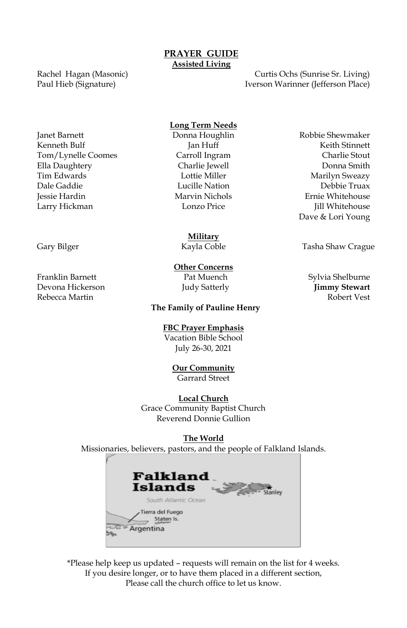Rachel Hagan (Masonic) Paul Hieb (Signature)

Curtis Ochs (Sunrise Sr. Living) Iverson Warinner (Jefferson Place)

#### **Long Term Needs**

Janet Barnett Donna Houghlin Robbie Shewmaker

Kenneth Bulf **Government** Jan Huff **Communist Communist Communist Communist Communist Communist Communist Communist Communist Communist Communist Communist Communist Communist Communist Communist Communist Communist Commun** Tom/Lynelle Coomes Carroll Ingram Charlie Stout Ella Daughtery Charlie Jewell Donna Smith Tim Edwards **Marilyn Sweazy** Lottie Miller **Marilyn Sweazy** Dale Gaddie Lucille Nation Debbie Truax Jessie Hardin Marvin Nichols Ernie Whitehouse Larry Hickman Lonzo Price Jill Whitehouse Dave & Lori Young

**Military**

**Other Concerns**

**The Family of Pauline Henry**

#### **FBC Prayer Emphasis**

Vacation Bible School July 26-30, 2021

### **Our Community**

Garrard Street

### **Local Church**

Grace Community Baptist Church Reverend Donnie Gullion

#### **The World**

Missionaries, believers, pastors, and the people of Falkland Islands.



\*Please help keep us updated – requests will remain on the list for 4 weeks. If you desire longer, or to have them placed in a different section, Please call the church office to let us know.

Gary Bilger **Tasha Shaw Crague Coble** Tasha Shaw Crague

Franklin Barnett Pat Muench Sylvia Shelburne Devona Hickerson Judy Satterly **Jimmy Stewart** Rebecca Martin Robert Vest